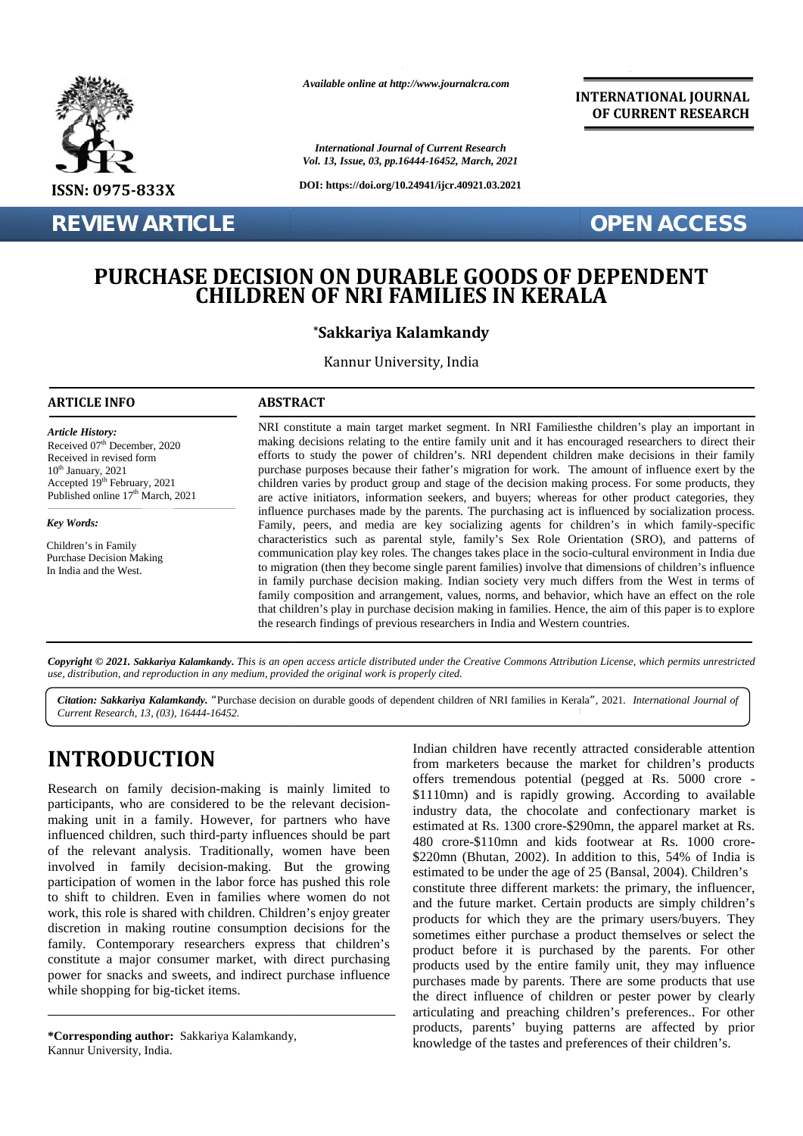

**REVIEW ARTICLE** *OPEN ACCESS* 

*Available online at http://www.journalcra.com*

*International Journal of Current Research Vol. 13, Issue, 03, pp.16444-16452, March, 2021*

**DOI: https://doi.org/10.24941/ijcr.40921.03.2021**

**INTERNATIONAL JOURNAL OF CURRENT RESEARCH**

## **PURCHASE DECISION ON DURABLE GOODS OF DEPENDENT** E DECISION ON DURABLE GOODS OF DEPENDENT<br>CHILDREN OF NRI FAMILIES IN KERALA

### **\*Sakkariya Kalamkandy**

Kannur University, India

#### **ARTICLE INFO ABSTRACT ARTICLE ABSTRACT**

*Article History: Article History:* Received  $07<sup>th</sup>$  December, 2020 Received U/<sup>---</sup> December, 2020<br>Received in revised form<br>10<sup>th</sup> January, 2021  $10<sup>th</sup>$  January,  $2021$ Received in revised form<br>
10<sup>th</sup> January, 2021<br>
Accepted 19<sup>th</sup> February, 2021 Published online  $17<sup>th</sup>$  March, 2021

*Key Words: Key Words:*

Children's in Family Eindreit sin Panny<br>Purchase Decision Making In India and the West.

NRI constitute a main target market segment. In NRI Familiesthe children's play an important in NRI making decisions relating to the entire family unit and it has encouraged researchers to direct their efforts to study the power of children's. NRI dependent children make decisions in their family efforts to study the power of children's. NRI dependent children make decisions in their family purchase purposes because their father's migration for work. The amount of influence exert by the children varies by product group and stage of the decision making process. For some products, they are active initiators, information seekers, and buyers; whereas for other product categories, they influence purchases made by the parents. The purchasing act is influenced by socialization process. Family, peers, and media are key socializing agents for children's in which family-specific Explicit the sekers, and buyers; whereas for other products, they<br>externally are active initiators, information seekers, and buyers; whereas for other product categories, they<br>influence purchases made by the parents. The p communication play key roles. The changes takes place in the socio-cultural environment in India due to migration (then they become single parent families) involve that dimensions of children's influence to in family purchase decision making. Indian society very much differs from the West in terms of in family purchase decision making. Indian society very much differs from the West in terms of family composition and arrangement, values, norms, and behavior, which have an effect on the role that children's play in purchase decision making in families. Hence, the aim of this paper is to explore the research findings of previous researchers in India and Western countries. Fr. 2020 making decisions relating to the entire family unit and it has encouraged researchers to efforts to study the power of children's. NRI dependent children make decisions in prochase purposes because their father's

**Copyright © 2021. Sakkariya Kalamkandy.** This is an open access article distributed under the Creative Commons Attribution License, which permits unrestricted<br>use, distribution, and reproduction in any medium, provided th *use, distribution, and reproduction in any medium, provided the original work is properly cited.*

Citation: Sakkariya Kalamkandy. "Purchase decision on durable goods of dependent children of NRI families in Kerala", 2021. *International Journal of* [1899] [1899] [1899] [1899] [1899] [1899] [1899] [1899] [1899] [1899] [ *Current Research, 13, (03), 16444-16452.*

# **INTRODUCTION INTRODUCTION**

Research on family decision-making is mainly limited to participants, who are considered to be the relevant decision making unit in a family. However, for partners who have  $\frac{m}{\omega}$ influenced children, such third-party influences should be part of the relevant analysis. Traditionally, women have been involved in family decision-making. But the growing participation of women in the labor force has pushed this role to shift to children. Even in families where women do not work, this role is shared with children. Children's enjoy greater discretion in making routine consumption decisions for the  $\frac{1}{500}$ family. Contemporary researchers express that children's  $\frac{501}{n}$ constitute a major consumer market, with direct purchasing power for snacks and sweets, and indirect purchase influence  $\frac{P}{P}$ while shopping for big-ticket items. Research on family decision-making is mainly limited to participants, who are considered to be the relevant decision-making unit in a family. However, for partners who have influenced children, such third-party influences constitute a major consumer market, with<br>power for snacks and sweets, and indirect p<br>while shopping for big-ticket items.

Indian children have recently attracted considerable attention from marketers because the market for children's products offers tremendous potential (pegged at Rs. 5000 crore - \$1110mn) and is rapidly growing. According to available industry data, the chocolate and confectionary market is estimated at Rs. 1300 crore-\$290mn, the apparel market at Rs. 480 crore-\$110mn and kids footwear at Rs. 1000 crore- \$220mn (Bhutan, 2002). In addition to this, 54% of India is estimated to be under the age of 25 (Bansal, 2004). Children's constitute three different markets: the primary, the influencer, and the future market. Certain products are simply children's products for which they are the primary users/buyers. They sometimes either purchase a product themselves or select the product before it is purchased by the parents. For other products used by the entire family unit, they may influence products for the sometimes either purchase a product themselves or select the chers express that children's product before it is purchased by the parents. For other products used by the entire family unit, they may influen the direct influence of children or pester power by clearly articulating and preaching children's preferences.. For other products, parents' buying patterns are affected by prior knowledge of the tastes and preferences of their children's. INTRODUCTION from marketes because the market or children's products<br>
Research on family decision-making is mainly limited to the relevant decision-<br>
participants, who are considered to be the relevant decision-<br>
industry **SEARTICLE SEART AND ARRELE COODS OF DEPART ACCESS**<br>
SEART ICLE IS and the search and the search and the search and the search and the search and the search and the search and the search and the search and the search and

**<sup>\*</sup>Corresponding author:** Sakkariya Kalamkandy, **\*Corresponding** Kannur University, India.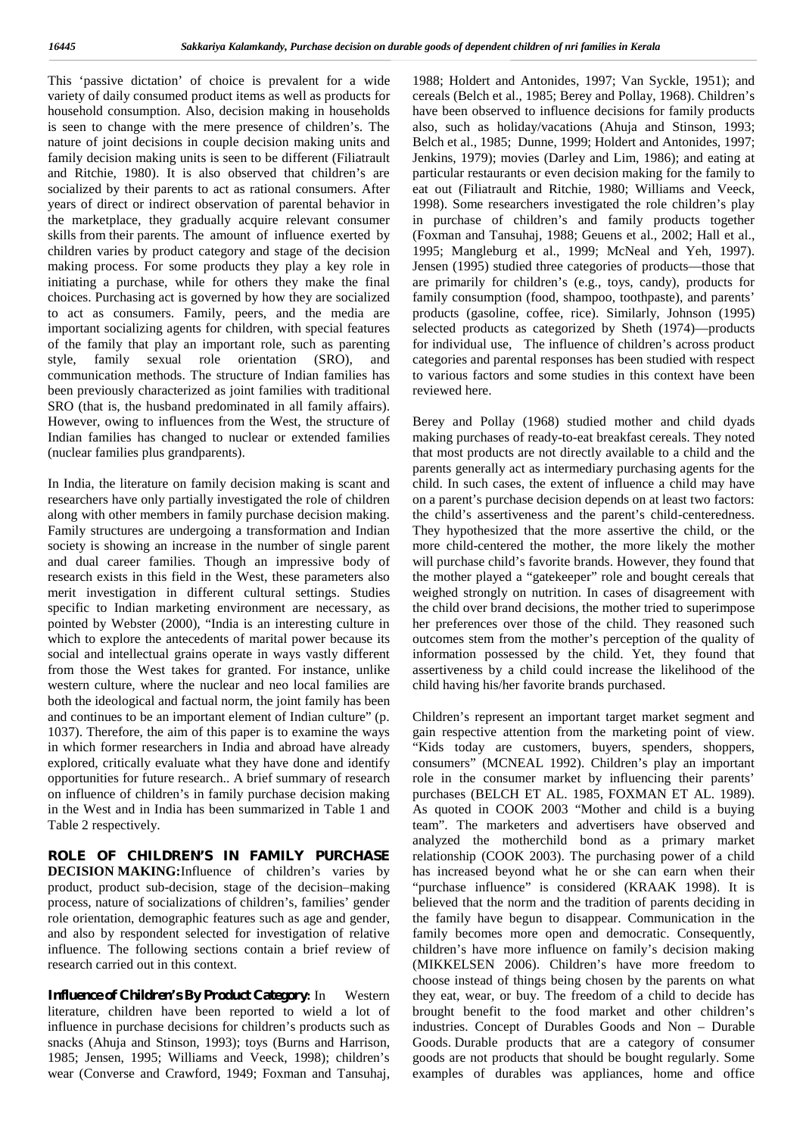This 'passive dictation' of choice is prevalent for a wide variety of daily consumed product items as well as products for household consumption. Also, decision making in households is seen to change with the mere presence of children's. The nature of joint decisions in couple decision making units and family decision making units is seen to be different (Filiatrault and Ritchie, 1980). It is also observed that children's are socialized by their parents to act as rational consumers. After years of direct or indirect observation of parental behavior in the marketplace, they gradually acquire relevant consumer skills from their parents. The amount of influence exerted by children varies by product category and stage of the decision making process. For some products they play a key role in initiating a purchase, while for others they make the final choices. Purchasing act is governed by how they are socialized to act as consumers. Family, peers, and the media are important socializing agents for children, with special features of the family that play an important role, such as parenting style, family sexual role orientation (SRO), and communication methods. The structure of Indian families has been previously characterized as joint families with traditional SRO (that is, the husband predominated in all family affairs). However, owing to influences from the West, the structure of Indian families has changed to nuclear or extended families (nuclear families plus grandparents).

In India, the literature on family decision making is scant and researchers have only partially investigated the role of children along with other members in family purchase decision making. Family structures are undergoing a transformation and Indian society is showing an increase in the number of single parent and dual career families. Though an impressive body of research exists in this field in the West, these parameters also merit investigation in different cultural settings. Studies specific to Indian marketing environment are necessary, as pointed by Webster (2000), "India is an interesting culture in which to explore the antecedents of marital power because its social and intellectual grains operate in ways vastly different from those the West takes for granted. For instance, unlike western culture, where the nuclear and neo local families are both the ideological and factual norm, the joint family has been and continues to be an important element of Indian culture" (p. 1037). Therefore, the aim of this paper is to examine the ways in which former researchers in India and abroad have already explored, critically evaluate what they have done and identify opportunities for future research.. A brief summary of research on influence of children's in family purchase decision making in the West and in India has been summarized in Table 1 and Table 2 respectively.

**ROLE OF CHILDREN'S IN FAMILY PURCHASE DECISION MAKING:**Influence of children's varies by product, product sub-decision, stage of the decision–making process, nature of socializations of children's, families' gender role orientation, demographic features such as age and gender, and also by respondent selected for investigation of relative influence. The following sections contain a brief review of research carried out in this context.

**Influence of Children's By Product Category:** In Western literature, children have been reported to wield a lot of influence in purchase decisions for children's products such as snacks (Ahuja and Stinson, 1993); toys (Burns and Harrison, 1985; Jensen, 1995; Williams and Veeck, 1998); children's wear (Converse and Crawford, 1949; Foxman and Tansuhaj,

1988; Holdert and Antonides, 1997; Van Syckle, 1951); and cereals (Belch et al., 1985; Berey and Pollay, 1968). Children's have been observed to influence decisions for family products also, such as holiday/vacations (Ahuja and Stinson, 1993; Belch et al., 1985; Dunne, 1999; Holdert and Antonides, 1997; Jenkins, 1979); movies (Darley and Lim, 1986); and eating at particular restaurants or even decision making for the family to eat out (Filiatrault and Ritchie, 1980; Williams and Veeck, 1998). Some researchers investigated the role children's play in purchase of children's and family products together (Foxman and Tansuhaj, 1988; Geuens et al., 2002; Hall et al., 1995; Mangleburg et al., 1999; McNeal and Yeh, 1997). Jensen (1995) studied three categories of products—those that are primarily for children's (e.g., toys, candy), products for family consumption (food, shampoo, toothpaste), and parents' products (gasoline, coffee, rice). Similarly, Johnson (1995) selected products as categorized by Sheth (1974)—products for individual use, The influence of children's across product categories and parental responses has been studied with respect to various factors and some studies in this context have been reviewed here.

Berey and Pollay (1968) studied mother and child dyads making purchases of ready-to-eat breakfast cereals. They noted that most products are not directly available to a child and the parents generally act as intermediary purchasing agents for the child. In such cases, the extent of influence a child may have on a parent's purchase decision depends on at least two factors: the child's assertiveness and the parent's child-centeredness. They hypothesized that the more assertive the child, or the more child-centered the mother, the more likely the mother will purchase child's favorite brands. However, they found that the mother played a "gatekeeper" role and bought cereals that weighed strongly on nutrition. In cases of disagreement with the child over brand decisions, the mother tried to superimpose her preferences over those of the child. They reasoned such outcomes stem from the mother's perception of the quality of information possessed by the child. Yet, they found that assertiveness by a child could increase the likelihood of the child having his/her favorite brands purchased.

Children's represent an important target market segment and gain respective attention from the marketing point of view. "Kids today are customers, buyers, spenders, shoppers, consumers" (MCNEAL 1992). Children's play an important role in the consumer market by influencing their parents' purchases (BELCH ET AL. 1985, FOXMAN ET AL. 1989). As quoted in COOK 2003 "Mother and child is a buying team". The marketers and advertisers have observed and analyzed the motherchild bond as a primary market relationship (COOK 2003). The purchasing power of a child has increased beyond what he or she can earn when their "purchase influence" is considered (KRAAK 1998). It is believed that the norm and the tradition of parents deciding in the family have begun to disappear. Communication in the family becomes more open and democratic. Consequently, children's have more influence on family's decision making (MIKKELSEN 2006). Children's have more freedom to choose instead of things being chosen by the parents on what they eat, wear, or buy. The freedom of a child to decide has brought benefit to the food market and other children's industries. Concept of Durables Goods and Non – Durable Goods. Durable products that are a category of consumer goods are not products that should be bought regularly. Some examples of durables was appliances, home and office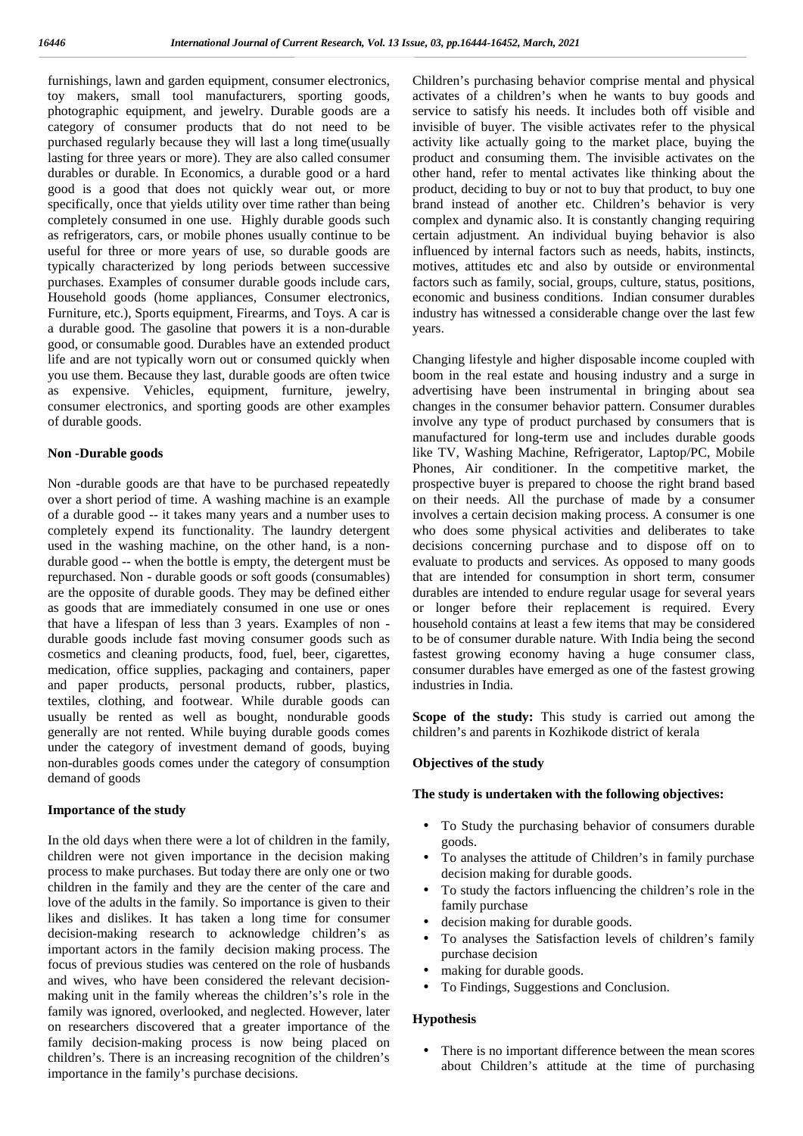furnishings, lawn and garden equipment, consumer electronics, toy makers, small tool manufacturers, sporting goods, photographic equipment, and jewelry. Durable goods are a category of consumer products that do not need to be purchased regularly because they will last a long time(usually lasting for three years or more). They are also called consumer durables or durable. In Economics, a durable good or a hard good is a good that does not quickly wear out, or more specifically, once that yields utility over time rather than being completely consumed in one use. Highly durable goods such as refrigerators, cars, or mobile phones usually continue to be useful for three or more years of use, so durable goods are typically characterized by long periods between successive purchases. Examples of consumer durable goods include cars, Household goods (home appliances, Consumer electronics, Furniture, etc.), Sports equipment, Firearms, and Toys. A car is a durable good. The gasoline that powers it is a non-durable good, or consumable good. Durables have an extended product life and are not typically worn out or consumed quickly when you use them. Because they last, durable goods are often twice as expensive. Vehicles, equipment, furniture, jewelry, consumer electronics, and sporting goods are other examples of durable goods.

#### **Non -Durable goods**

Non -durable goods are that have to be purchased repeatedly over a short period of time. A washing machine is an example of a durable good -- it takes many years and a number uses to completely expend its functionality. The laundry detergent used in the washing machine, on the other hand, is a non durable good -- when the bottle is empty, the detergent must be repurchased. Non - durable goods or soft goods (consumables) are the opposite of durable goods. They may be defined either as goods that are immediately consumed in one use or ones that have a lifespan of less than 3 years. Examples of non durable goods include fast moving consumer goods such as cosmetics and cleaning products, food, fuel, beer, cigarettes, medication, office supplies, packaging and containers, paper and paper products, personal products, rubber, plastics, textiles, clothing, and footwear. While durable goods can usually be rented as well as bought, nondurable goods generally are not rented. While buying durable goods comes under the category of investment demand of goods, buying non-durables goods comes under the category of consumption demand of goods

#### **Importance of the study**

In the old days when there were a lot of children in the family, children were not given importance in the decision making process to make purchases. But today there are only one or two children in the family and they are the center of the care and love of the adults in the family. So importance is given to their likes and dislikes. It has taken a long time for consumer decision-making research to acknowledge children's as important actors in the family decision making process. The focus of previous studies was centered on the role of husbands and wives, who have been considered the relevant decision making unit in the family whereas the children's's role in the family was ignored, overlooked, and neglected. However, later on researchers discovered that a greater importance of the family decision-making process is now being placed on children's. There is an increasing recognition of the children's importance in the family's purchase decisions.

Children's purchasing behavior comprise mental and physical activates of a children's when he wants to buy goods and service to satisfy his needs. It includes both off visible and invisible of buyer. The visible activates refer to the physical activity like actually going to the market place, buying the product and consuming them. The invisible activates on the other hand, refer to mental activates like thinking about the product, deciding to buy or not to buy that product, to buy one brand instead of another etc. Children's behavior is very complex and dynamic also. It is constantly changing requiring certain adjustment. An individual buying behavior is also influenced by internal factors such as needs, habits, instincts, motives, attitudes etc and also by outside or environmental factors such as family, social, groups, culture, status, positions, economic and business conditions. Indian consumer durables industry has witnessed a considerable change over the last few years.

Changing lifestyle and higher disposable income coupled with boom in the real estate and housing industry and a surge in advertising have been instrumental in bringing about sea changes in the consumer behavior pattern. Consumer durables involve any type of product purchased by consumers that is manufactured for long-term use and includes durable goods like TV, Washing Machine, Refrigerator, Laptop/PC, Mobile Phones, Air conditioner. In the competitive market, the prospective buyer is prepared to choose the right brand based on their needs. All the purchase of made by a consumer involves a certain decision making process. A consumer is one who does some physical activities and deliberates to take decisions concerning purchase and to dispose off on to evaluate to products and services. As opposed to many goods that are intended for consumption in short term, consumer durables are intended to endure regular usage for several years or longer before their replacement is required. Every household contains at least a few items that may be considered to be of consumer durable nature. With India being the second fastest growing economy having a huge consumer class, consumer durables have emerged as one of the fastest growing industries in India.

**Scope of the study:** This study is carried out among the children's and parents in Kozhikode district of kerala

#### **Objectives of the study**

#### **The study is undertaken with the following objectives:**

- To Study the purchasing behavior of consumers durable goods.
- To analyses the attitude of Children's in family purchase decision making for durable goods.
- To study the factors influencing the children's role in the family purchase
- decision making for durable goods.
- To analyses the Satisfaction levels of children's family purchase decision
- making for durable goods.
- To Findings, Suggestions and Conclusion.

#### **Hypothesis**

 There is no important difference between the mean scores about Children's attitude at the time of purchasing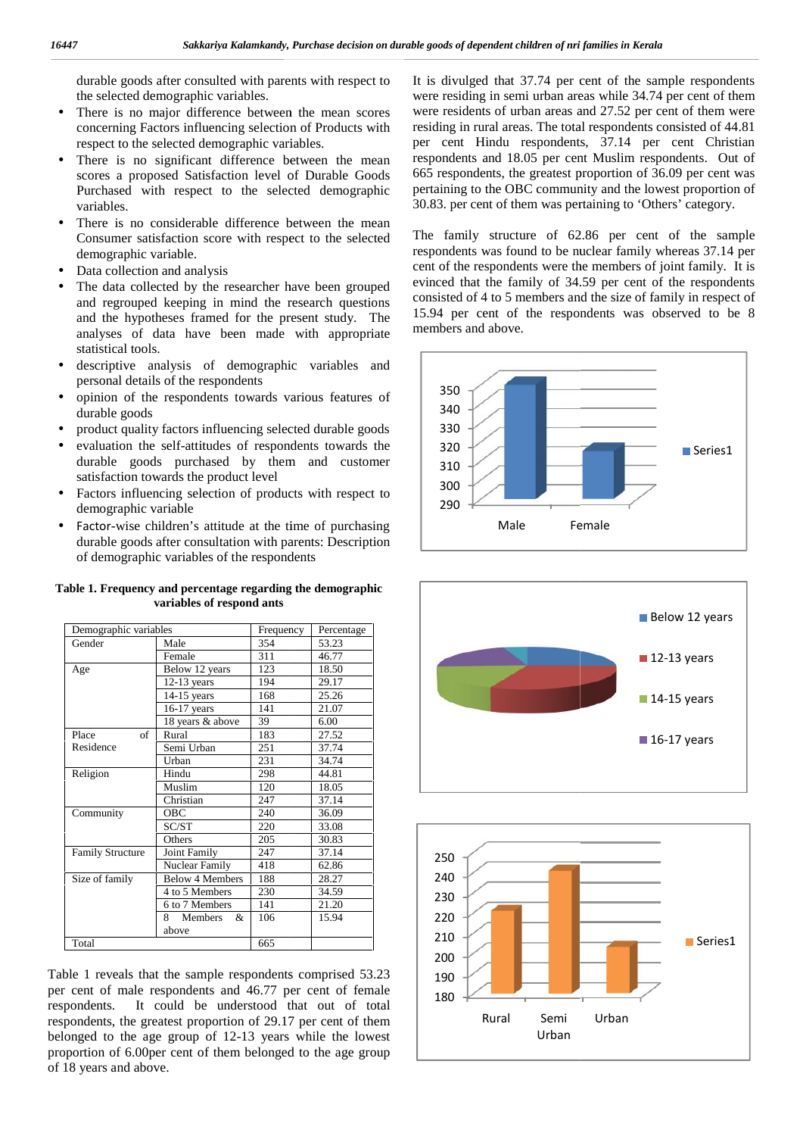- There is no major difference between the mean scores concerning Factors influencing selection of Products with respect to the selected demographic variables. ) There is no major difference between the inconcerning Factors influencing selection of P respect to the selected demographic variables.
- There is no significant difference between the mean ) There is no significant difference between the mean res scores a proposed Satisfaction level of Durable Goods 66. Purchased with respect to the selected demographic variables.
- There is no considerable difference between the mean<br>Consumer satisfaction score with respect to the selected The<br>demographic variable. Consumer satisfaction score with respect to the selected demographic variable.
- Data collection and analysis
- The data collected by the researcher have been grouped eving and regrouped keeping in mind the research questions and the hypotheses framed for the present study. The analyses of data have been made with appropriate statistical tools. ) Data collection and analysis<br>The data collected by the researcher have been grouped<br>and regrouped keeping in mind the research questions<br>and the hypotheses framed for the present study. The<br>analyses of data have been mad
- descriptive analysis of demographic variables and personal details of the respondents  $\big)$
- $\int$  opinion of the respondents towards various features of durable goods
- | product quality factors influencing selected durable goods |
- evaluation the self-attitudes of respondents towards the durable goods purchased by them and customer satisfaction towards the product level  $\big)$
- factors influencing selection of products with respect to demographic variable demographic variable
- Factor-wise children's attitude at the time of purchasing durable goods after consultation with parents: Description of demographic variables of the respondents Factor-wise children's attitude at the time durable goods after consultation with parent of demographic variables of the respondents

| Table 1. Frequency and percentage regarding the demographic |  |  |  |  |  |  |  |  |
|-------------------------------------------------------------|--|--|--|--|--|--|--|--|
| variables of respond ants                                   |  |  |  |  |  |  |  |  |
|                                                             |  |  |  |  |  |  |  |  |

| variables.<br>demographic variable.<br>Data collection and analysis                                                                                                                         | durable goods after consulted with parents with respect to<br>the selected demographic variables.<br>There is no major difference between the mean scores<br>concerning Factors influencing selection of Products with<br>respect to the selected demographic variables.<br>There is no significant difference between the mean<br>scores a proposed Satisfaction level of Durable Goods<br>Purchased with respect to the selected demographic<br>There is no considerable difference between the mean<br>Consumer satisfaction score with respect to the selected |                  |                | It is divulged that 37.74 per cent of the sample respondents<br>were residing in semi urban areas while 34.74 per cent of them<br>were residents of urban areas and 27.52 per cent of them were<br>residing in rural areas. The total respondents consisted of 44.81<br>per cent Hindu respondents, 37.14 per cent Christian<br>respondents and 18.05 per cent Muslim respondents. Out of<br>665 respondents, the greatest proportion of 36.09 per cent was<br>pertaining to the OBC community and the lowest proportion of<br>30.83. per cent of them was pertaining to 'Others' category.<br>The family structure of 62.86 per cent of the sample<br>respondents was found to be nuclear family whereas 37.14 per<br>cent of the respondents were the members of joint family. It is |  |
|---------------------------------------------------------------------------------------------------------------------------------------------------------------------------------------------|--------------------------------------------------------------------------------------------------------------------------------------------------------------------------------------------------------------------------------------------------------------------------------------------------------------------------------------------------------------------------------------------------------------------------------------------------------------------------------------------------------------------------------------------------------------------|------------------|----------------|----------------------------------------------------------------------------------------------------------------------------------------------------------------------------------------------------------------------------------------------------------------------------------------------------------------------------------------------------------------------------------------------------------------------------------------------------------------------------------------------------------------------------------------------------------------------------------------------------------------------------------------------------------------------------------------------------------------------------------------------------------------------------------------|--|
| statistical tools.                                                                                                                                                                          | The data collected by the researcher have been grouped<br>and regrouped keeping in mind the research questions<br>and the hypotheses framed for the present study. The<br>analyses of data have been made with appropriate<br>descriptive analysis of demographic variables and                                                                                                                                                                                                                                                                                    |                  |                | evinced that the family of 34.59 per cent of the respondents<br>consisted of 4 to 5 members and the size of family in respect of<br>15.94 per cent of the respondents was observed to be 8<br>members and above.                                                                                                                                                                                                                                                                                                                                                                                                                                                                                                                                                                       |  |
|                                                                                                                                                                                             | personal details of the respondents<br>opinion of the respondents towards various features of                                                                                                                                                                                                                                                                                                                                                                                                                                                                      |                  |                | 350<br>340                                                                                                                                                                                                                                                                                                                                                                                                                                                                                                                                                                                                                                                                                                                                                                             |  |
| durable goods                                                                                                                                                                               |                                                                                                                                                                                                                                                                                                                                                                                                                                                                                                                                                                    |                  |                | 330                                                                                                                                                                                                                                                                                                                                                                                                                                                                                                                                                                                                                                                                                                                                                                                    |  |
|                                                                                                                                                                                             | product quality factors influencing selected durable goods<br>evaluation the self-attitudes of respondents towards the                                                                                                                                                                                                                                                                                                                                                                                                                                             |                  |                |                                                                                                                                                                                                                                                                                                                                                                                                                                                                                                                                                                                                                                                                                                                                                                                        |  |
|                                                                                                                                                                                             | durable goods purchased by them and customer                                                                                                                                                                                                                                                                                                                                                                                                                                                                                                                       |                  |                | 320<br>Series1                                                                                                                                                                                                                                                                                                                                                                                                                                                                                                                                                                                                                                                                                                                                                                         |  |
|                                                                                                                                                                                             | satisfaction towards the product level                                                                                                                                                                                                                                                                                                                                                                                                                                                                                                                             |                  |                | 310                                                                                                                                                                                                                                                                                                                                                                                                                                                                                                                                                                                                                                                                                                                                                                                    |  |
|                                                                                                                                                                                             | Factors influencing selection of products with respect to                                                                                                                                                                                                                                                                                                                                                                                                                                                                                                          |                  |                | 300                                                                                                                                                                                                                                                                                                                                                                                                                                                                                                                                                                                                                                                                                                                                                                                    |  |
| demographic variable                                                                                                                                                                        |                                                                                                                                                                                                                                                                                                                                                                                                                                                                                                                                                                    |                  |                | 290                                                                                                                                                                                                                                                                                                                                                                                                                                                                                                                                                                                                                                                                                                                                                                                    |  |
|                                                                                                                                                                                             | Factor-wise children's attitude at the time of purchasing<br>durable goods after consultation with parents: Description<br>of demographic variables of the respondents                                                                                                                                                                                                                                                                                                                                                                                             |                  |                | Male<br>Female                                                                                                                                                                                                                                                                                                                                                                                                                                                                                                                                                                                                                                                                                                                                                                         |  |
| Table 1. Frequency and percentage regarding the demographic                                                                                                                                 |                                                                                                                                                                                                                                                                                                                                                                                                                                                                                                                                                                    |                  |                |                                                                                                                                                                                                                                                                                                                                                                                                                                                                                                                                                                                                                                                                                                                                                                                        |  |
|                                                                                                                                                                                             | variables of respond ants                                                                                                                                                                                                                                                                                                                                                                                                                                                                                                                                          |                  |                | <b>Below 12 years</b>                                                                                                                                                                                                                                                                                                                                                                                                                                                                                                                                                                                                                                                                                                                                                                  |  |
| Demographic variables<br>Gender                                                                                                                                                             | Male                                                                                                                                                                                                                                                                                                                                                                                                                                                                                                                                                               | Frequency<br>354 | Percentage     |                                                                                                                                                                                                                                                                                                                                                                                                                                                                                                                                                                                                                                                                                                                                                                                        |  |
|                                                                                                                                                                                             | Female                                                                                                                                                                                                                                                                                                                                                                                                                                                                                                                                                             | 311              | 53.23<br>46.77 | $\blacksquare$ 12-13 years                                                                                                                                                                                                                                                                                                                                                                                                                                                                                                                                                                                                                                                                                                                                                             |  |
| Age                                                                                                                                                                                         | Below 12 years                                                                                                                                                                                                                                                                                                                                                                                                                                                                                                                                                     | 123              | 18.50          |                                                                                                                                                                                                                                                                                                                                                                                                                                                                                                                                                                                                                                                                                                                                                                                        |  |
|                                                                                                                                                                                             | $12-13$ years                                                                                                                                                                                                                                                                                                                                                                                                                                                                                                                                                      | 194              | 29.17          |                                                                                                                                                                                                                                                                                                                                                                                                                                                                                                                                                                                                                                                                                                                                                                                        |  |
|                                                                                                                                                                                             | 14-15 years                                                                                                                                                                                                                                                                                                                                                                                                                                                                                                                                                        | 168              | 25.26          | $\blacksquare$ 14-15 years                                                                                                                                                                                                                                                                                                                                                                                                                                                                                                                                                                                                                                                                                                                                                             |  |
|                                                                                                                                                                                             | $16-17$ years<br>18 years & above                                                                                                                                                                                                                                                                                                                                                                                                                                                                                                                                  | 141<br>39        | 21.07<br>6.00  |                                                                                                                                                                                                                                                                                                                                                                                                                                                                                                                                                                                                                                                                                                                                                                                        |  |
| Place<br>of                                                                                                                                                                                 | Rural                                                                                                                                                                                                                                                                                                                                                                                                                                                                                                                                                              | 183              | 27.52          |                                                                                                                                                                                                                                                                                                                                                                                                                                                                                                                                                                                                                                                                                                                                                                                        |  |
| Residence                                                                                                                                                                                   | Semi Urban                                                                                                                                                                                                                                                                                                                                                                                                                                                                                                                                                         | 251              | 37.74          | $\blacksquare$ 16-17 years                                                                                                                                                                                                                                                                                                                                                                                                                                                                                                                                                                                                                                                                                                                                                             |  |
|                                                                                                                                                                                             | Urban                                                                                                                                                                                                                                                                                                                                                                                                                                                                                                                                                              | 231              | 34.74          |                                                                                                                                                                                                                                                                                                                                                                                                                                                                                                                                                                                                                                                                                                                                                                                        |  |
| Religion                                                                                                                                                                                    | Hindu<br>Muslim                                                                                                                                                                                                                                                                                                                                                                                                                                                                                                                                                    | 298<br>120       | 44.81<br>18.05 |                                                                                                                                                                                                                                                                                                                                                                                                                                                                                                                                                                                                                                                                                                                                                                                        |  |
|                                                                                                                                                                                             | Christian                                                                                                                                                                                                                                                                                                                                                                                                                                                                                                                                                          | 247              | 37.14          |                                                                                                                                                                                                                                                                                                                                                                                                                                                                                                                                                                                                                                                                                                                                                                                        |  |
| Community                                                                                                                                                                                   | OBC                                                                                                                                                                                                                                                                                                                                                                                                                                                                                                                                                                | 240              | 36.09          |                                                                                                                                                                                                                                                                                                                                                                                                                                                                                                                                                                                                                                                                                                                                                                                        |  |
|                                                                                                                                                                                             | SC/ST                                                                                                                                                                                                                                                                                                                                                                                                                                                                                                                                                              | 220              | 33.08          |                                                                                                                                                                                                                                                                                                                                                                                                                                                                                                                                                                                                                                                                                                                                                                                        |  |
|                                                                                                                                                                                             | Others                                                                                                                                                                                                                                                                                                                                                                                                                                                                                                                                                             | 205              | 30.83          |                                                                                                                                                                                                                                                                                                                                                                                                                                                                                                                                                                                                                                                                                                                                                                                        |  |
| Family Structure                                                                                                                                                                            | Joint Family<br>Nuclear Family                                                                                                                                                                                                                                                                                                                                                                                                                                                                                                                                     | 247<br>418       | 37.14<br>62.86 | 250                                                                                                                                                                                                                                                                                                                                                                                                                                                                                                                                                                                                                                                                                                                                                                                    |  |
| Size of family                                                                                                                                                                              | <b>Below 4 Members</b>                                                                                                                                                                                                                                                                                                                                                                                                                                                                                                                                             | 188              | 28.27          | 240                                                                                                                                                                                                                                                                                                                                                                                                                                                                                                                                                                                                                                                                                                                                                                                    |  |
|                                                                                                                                                                                             | 4 to 5 Members                                                                                                                                                                                                                                                                                                                                                                                                                                                                                                                                                     | 230              | 34.59          |                                                                                                                                                                                                                                                                                                                                                                                                                                                                                                                                                                                                                                                                                                                                                                                        |  |
|                                                                                                                                                                                             | 6 to 7 Members                                                                                                                                                                                                                                                                                                                                                                                                                                                                                                                                                     | 141              | 21.20          | 230                                                                                                                                                                                                                                                                                                                                                                                                                                                                                                                                                                                                                                                                                                                                                                                    |  |
|                                                                                                                                                                                             | Members &<br>8.                                                                                                                                                                                                                                                                                                                                                                                                                                                                                                                                                    | 106              | 15.94          | 220                                                                                                                                                                                                                                                                                                                                                                                                                                                                                                                                                                                                                                                                                                                                                                                    |  |
| Total                                                                                                                                                                                       | above                                                                                                                                                                                                                                                                                                                                                                                                                                                                                                                                                              | 665              |                | 210<br>Series1                                                                                                                                                                                                                                                                                                                                                                                                                                                                                                                                                                                                                                                                                                                                                                         |  |
| Table 1 reveals that the sample respondents comprised 53.23<br>per cent of male respondents and 46.77 per cent of female<br>respondents.                                                    | It could be understood that out of total                                                                                                                                                                                                                                                                                                                                                                                                                                                                                                                           |                  |                | 200<br>190<br>180                                                                                                                                                                                                                                                                                                                                                                                                                                                                                                                                                                                                                                                                                                                                                                      |  |
| respondents, the greatest proportion of 29.17 per cent of them<br>belonged to the age group of 12-13 years while the lowest<br>proportion of 6.00per cent of them belonged to the age group | of 18 years and above.                                                                                                                                                                                                                                                                                                                                                                                                                                                                                                                                             |                  |                | Urban<br>Semi<br>Rural<br>Urban                                                                                                                                                                                                                                                                                                                                                                                                                                                                                                                                                                                                                                                                                                                                                        |  |

Table 1 reveals that the sample respondents comprised 53.23 per cent of male respondents and 46.77 per cent of female respondents. It could be understood that out of total respondents, the greatest proportion of 29.17 per cent of them belonged to the age group of 12-13 years while the lowest proportion of 6.00per cent of them belonged to the age group of 18 years and above. Table 1 reveals that the sample respondents comprised 53.23<br>per cent of male respondents and 46.77 per cent of female<br>respondents. It could be understood that out of total<br>respondents, the greatest proportion of 29.17 per





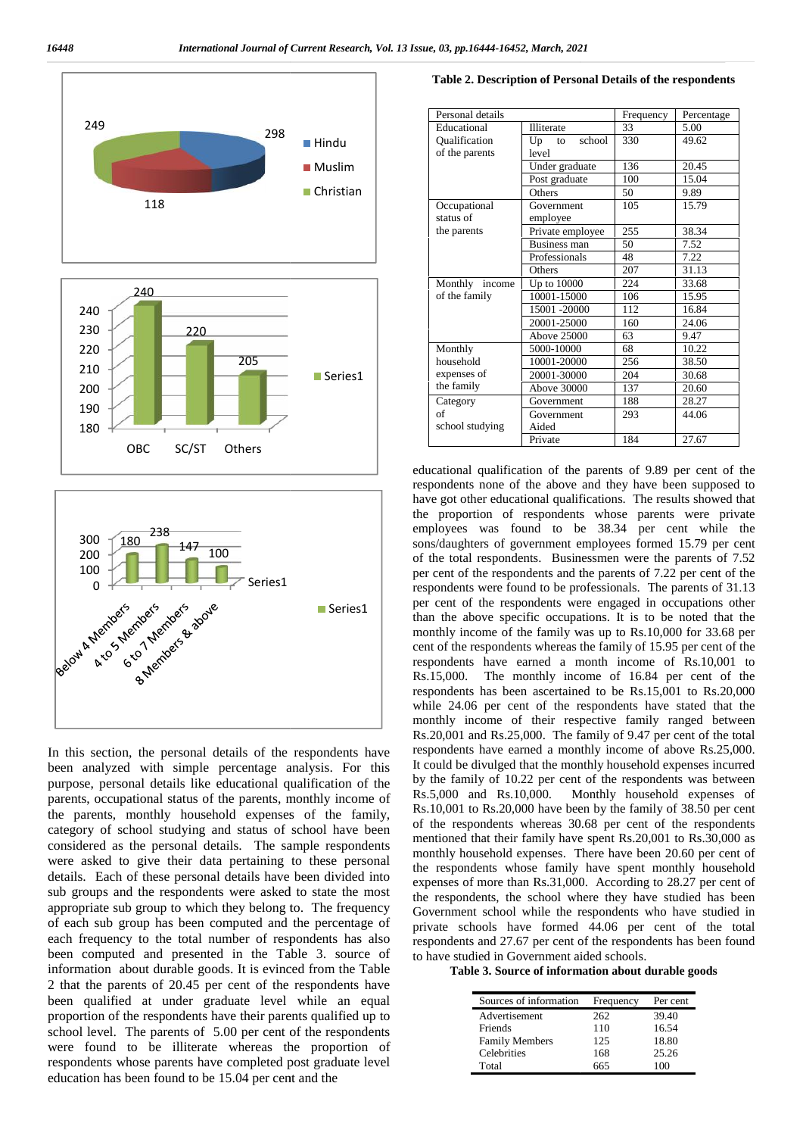



In this section, the personal details of the respondents have been analyzed with simple percentage analysis. For this purpose, personal details like educational qualification of the  $\frac{b}{b}$  by the tamily of 10.22 per parents occupational status of the parents monthly income of Rs.5,000 and Rs.10,000. parents, occupational status of the parents, monthly income of the parents, monthly household expenses of the family, category of school studying and status of school have been  $\frac{01}{2}$ considered as the personal details. The sample respondents were asked to give their data pertaining to these personal details. Each of these personal details have been divided into sub groups and the respondents were asked to state the most appropriate sub group to which they belong to. The frequency of each sub group has been computed and the percentage of each frequency to the total number of respondents has also been computed and presented in the Table 3. source of information about durable goods. It is evinced from the Table 2 that the parents of 20.45 per cent of the respondents have been qualified at under graduate level while an equal proportion of the respondents have their parents qualified up to school level. The parents of 5.00 per cent of the respondents were found to be illiterate whereas the proportion of respondents whose parents have completed post graduate level education has been found to be 15.04 per cent and the In this section, the personal details of the respondents have<br>been analyzed with simple percentage analysis. For this<br>purpose, personal details like educational qualification of the<br>parents, occupational status of the par details. Each of these personal details have been divided into<br>sub groups and the respondents were asked to state the most<br>appropriate sub group to which they belong to. The frequency<br>of each sub group has been computed an each frequency to the total number of respondents has also<br>been computed and presented in the Table 3. source of<br>information about durable goods. It is evinced from the Table<br>2 that the parents of 20.45 per cent of the re proportion of the respondents have their parents qualified up to school level. The parents of 5.00 per cent of the respondents were found to be illiterate whereas the proportion of respondents whose parents have completed

| Table 2. Description of Personal Details of the respondents |
|-------------------------------------------------------------|
|-------------------------------------------------------------|

| Personal details | Frequency          | Percentage |       |
|------------------|--------------------|------------|-------|
| Educational      | <b>Illiterate</b>  | 33         | 5.00  |
| Qualification    | school<br>Up<br>to | 330        | 49.62 |
| of the parents   | level              |            |       |
|                  | Under graduate     | 136        | 20.45 |
|                  | Post graduate      | 100        | 15.04 |
|                  | Others             | 50         | 9.89  |
| Occupational     | Government         | 105        | 15.79 |
| status of        | employee           |            |       |
| the parents      | Private employee   | 255        | 38.34 |
|                  | Business man       | 50         | 7.52  |
|                  | Professionals      | 48         | 7.22  |
|                  | Others             | 207        | 31.13 |
| Monthly income   | Up to 10000        | 224        | 33.68 |
| of the family    | 10001-15000        | 106        | 15.95 |
|                  | 15001 -20000       | 112        | 16.84 |
|                  | 20001-25000        | 160        | 24.06 |
|                  | <b>Above 25000</b> | 63         | 9.47  |
| Monthly          | 5000-10000         | 68         | 10.22 |
| household        | 10001-20000        | 256        | 38.50 |
| expenses of      | 20001-30000        | 204        | 30.68 |
| the family       | Above 30000        | 137        | 20.60 |
| Category         | Government         | 188        | 28.27 |
| of               | Government         | 293        | 44.06 |
| school studying  | Aided              |            |       |
|                  | Private            | 184        | 27.67 |

educational qualification of the parents of 9.89 per cent of the respondents none of the above and they have been supposed to have got other educational qualifications. The results showed that the proportion of respondents whose parents were private employees was found to be 38.34 per cent while the sons/daughters of government employees formed 15.79 per cent of the total respondents. Businessmen were the parents of 7.52 per cent of the respondents and the parents of 7.22 per cent of the respondents were found to be professionals. The parents of 31.13 per cent of the respondents were engaged in occupations other than the above specific occupations. It is to be noted that the monthly income of the family was up to Rs.10,000 for 33.68 per cent of the respondents whereas the family of 15.95 per cent of the respondents have earned a month income of Rs.10,001 to Rs.15,000. The monthly income of 16.84 per cent of the respondents has been ascertained to be Rs.15,001 to Rs.20,000 while 24.06 per cent of the respondents have stated that the monthly income of their respective family ranged between Rs.20,001 and Rs.25,000. The family of 9.47 per cent of the total respondents have earned a monthly income of above Rs.25,000. It could be divulged that the monthly household expenses incurred by the family of 10.22 per cent of the respondents was between Monthly household expenses of Rs.10,001 to Rs.20,000 have been by the family of 38.50 per cent of the respondents whereas 30.68 per cent of the respondents mentioned that their family have spent Rs.20,001 to Rs.30,000 as monthly household expenses. There have been 20.60 per cent of the respondents whose family have spent monthly household expenses of more than Rs.31,000. According to 28.27 per cent of the respondents, the school where they have studied has been Government school while the respondents who have studied in private schools have formed 44.06 per cent of the total respondents and 27.67 per cent of the respondents has been found to have studied in Government aided schools. **EXAMPLE AND THE CONSULTION CONTINUOS CONFIDENTIAL CONFIDENTIAL CONFIDENTIAL CONFIDENTIAL CONFIDENTIAL CONFIDENTIAL CONFIDENTIAL CONFIDENTIAL CONFIDENTIAL CONFIDENTIAL CONFIDENTIAL CONFIDENTIAL CONFIDENTIAL CONFIDENTIAL C** educational qualification of the parents of 9.89 per cent of the respondents none of the above and they are suces showed that the proportion of respondents whose parents were private employees was found to be 38.34 per cen Rs.10,001 to Rs.20,000 have been by the family of 38.50 per cent<br>of the respondents whereas 30.68 per cent of the respondents<br>mentioned that their family have spent Rs.20,001 to Rs.30,000 as<br>monthly household expenses. The Hindu (Dualitecistics)<br>
Christianian (Fig. to school 350<br>
Christianian (Fig. 16 and 2000)<br>
Christianian (Fig. 1996)<br>
Constant of the partners (Fig. 1996)<br>
School of the fig. 1996)<br>
School of the fig. 1990)<br>
School of the Convention and 11 minutos of  $\mu$  minutos of  $\mu$  minutos of  $\mu$  minutos of  $\mu$  minutos of  $\mu$  minutos of  $\mu$  minutos of  $\mu$  minutos of  $\mu$  minutos of  $\mu$  minutos of  $\mu$  minutos of  $\mu$  minutos of  $\mu$  minutos of

**Table 3. Source of information about durable goods** 

| Sources of information | Frequency | Per cent |
|------------------------|-----------|----------|
| Advertisement          | 262       | 39.40    |
| Friends                | 110       | 16.54    |
| <b>Family Members</b>  | 125       | 18.80    |
| Celebrities            | 168       | 25.26    |
| Total                  | 665       |          |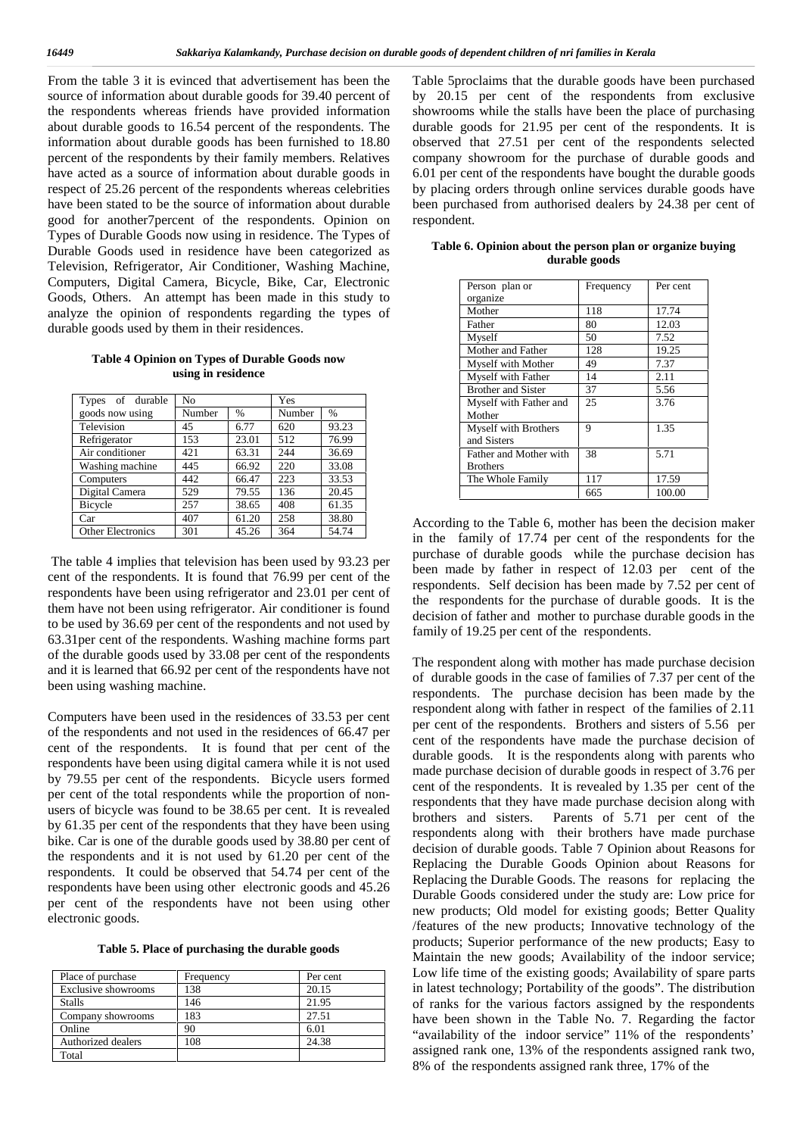From the table 3 it is evinced that advertisement has been the source of information about durable goods for 39.40 percent of the respondents whereas friends have provided information about durable goods to 16.54 percent of the respondents. The information about durable goods has been furnished to 18.80 percent of the respondents by their family members. Relatives have acted as a source of information about durable goods in respect of 25.26 percent of the respondents whereas celebrities have been stated to be the source of information about durable good for another7percent of the respondents. Opinion on Types of Durable Goods now using in residence. The Types of Durable Goods used in residence have been categorized as Television, Refrigerator, Air Conditioner, Washing Machine, Computers, Digital Camera, Bicycle, Bike, Car, Electronic Goods, Others. An attempt has been made in this study to analyze the opinion of respondents regarding the types of durable goods used by them in their residences.

**Table 4 Opinion on Types of Durable Goods now using in residence**

| Types of durable         | No     |               | Yes    |       |
|--------------------------|--------|---------------|--------|-------|
| goods now using          | Number | $\frac{0}{0}$ | Number | $\%$  |
| Television               | 45     | 6.77          | 620    | 93.23 |
| Refrigerator             | 153    | 23.01         | 512    | 76.99 |
| Air conditioner          | 421    | 63.31         | 244    | 36.69 |
| Washing machine          | 445    | 66.92         | 220    | 33.08 |
| Computers                | 442    | 66.47         | 223    | 33.53 |
| Digital Camera           | 529    | 79.55         | 136    | 20.45 |
| Bicycle                  | 257    | 38.65         | 408    | 61.35 |
| Car                      | 407    | 61.20         | 258    | 38.80 |
| <b>Other Electronics</b> | 301    | 45.26         | 364    | 54.74 |

The table 4 implies that television has been used by 93.23 per cent of the respondents. It is found that 76.99 per cent of the respondents have been using refrigerator and 23.01 per cent of them have not been using refrigerator. Air conditioner is found to be used by 36.69 per cent of the respondents and not used by 63.31per cent of the respondents. Washing machine forms part of the durable goods used by 33.08 per cent of the respondents and it is learned that 66.92 per cent of the respondents have not been using washing machine.

Computers have been used in the residences of 33.53 per cent of the respondents and not used in the residences of 66.47 per cent of the respondents. It is found that per cent of the respondents have been using digital camera while it is not used by 79.55 per cent of the respondents. Bicycle users formed per cent of the total respondents while the proportion of non users of bicycle was found to be 38.65 per cent. It is revealed by 61.35 per cent of the respondents that they have been using bike. Car is one of the durable goods used by 38.80 per cent of the respondents and it is not used by 61.20 per cent of the respondents. It could be observed that 54.74 per cent of the respondents have been using other electronic goods and 45.26 per cent of the respondents have not been using other electronic goods.

| Table 5. Place of purchasing the durable goods |  |
|------------------------------------------------|--|
|------------------------------------------------|--|

| Place of purchase   | Frequency | Per cent |
|---------------------|-----------|----------|
| Exclusive showrooms | 138       | 20.15    |
| <b>Stalls</b>       | 146       | 21.95    |
| Company showrooms   | 183       | 27.51    |
| Online              | 90        | 6.01     |
| Authorized dealers  | 108       | 24.38    |
| Total               |           |          |

Table 5proclaims that the durable goods have been purchased by 20.15 per cent of the respondents from exclusive showrooms while the stalls have been the place of purchasing durable goods for 21.95 per cent of the respondents. It is observed that 27.51 per cent of the respondents selected company showroom for the purchase of durable goods and 6.01 per cent of the respondents have bought the durable goods by placing orders through online services durable goods have been purchased from authorised dealers by 24.38 per cent of respondent.

| Person plan or              | Frequency | Per cent |
|-----------------------------|-----------|----------|
| organize                    |           |          |
| Mother                      | 118       | 17.74    |
| Father                      | 80        | 12.03    |
| Myself                      | 50        | 7.52     |
| Mother and Father           | 128       | 19.25    |
| Myself with Mother          | 49        | 7.37     |
| Myself with Father          | 14        | 2.11     |
| <b>Brother and Sister</b>   | 37        | 5.56     |
| Myself with Father and      | 25        | 3.76     |
| Mother                      |           |          |
| <b>Myself with Brothers</b> | 9         | 1.35     |
| and Sisters                 |           |          |
| Father and Mother with      | 38        | 5.71     |
| <b>Brothers</b>             |           |          |
| The Whole Family            | 117       | 17.59    |
|                             | 665       | 100.00   |

**Table 6. Opinion about the person plan or organize buying durable goods**

According to the Table 6, mother has been the decision maker in the family of 17.74 per cent of the respondents for the purchase of durable goods while the purchase decision has been made by father in respect of 12.03 per cent of the respondents. Self decision has been made by 7.52 per cent of the respondents for the purchase of durable goods. It is the decision of father and mother to purchase durable goods in the family of 19.25 per cent of the respondents.

The respondent along with mother has made purchase decision of durable goods in the case of families of 7.37 per cent of the respondents. The purchase decision has been made by the respondent along with father in respect of the families of 2.11 per cent of the respondents. Brothers and sisters of 5.56 per cent of the respondents have made the purchase decision of durable goods. It is the respondents along with parents who made purchase decision of durable goods in respect of 3.76 per cent of the respondents. It is revealed by 1.35 per cent of the respondents that they have made purchase decision along with brothers and sisters. Parents of 5.71 per cent of the respondents along with their brothers have made purchase decision of durable goods. Table 7 Opinion about Reasons for Replacing the Durable Goods Opinion about Reasons for Replacing the Durable Goods. The reasons for replacing the Durable Goods considered under the study are: Low price for new products; Old model for existing goods; Better Quality /features of the new products; Innovative technology of the products; Superior performance of the new products; Easy to Maintain the new goods; Availability of the indoor service; Low life time of the existing goods; Availability of spare parts in latest technology; Portability of the goods". The distribution of ranks for the various factors assigned by the respondents have been shown in the Table No. 7. Regarding the factor "availability of the indoor service" 11% of the respondents' assigned rank one, 13% of the respondents assigned rank two, 8% of the respondents assigned rank three, 17% of the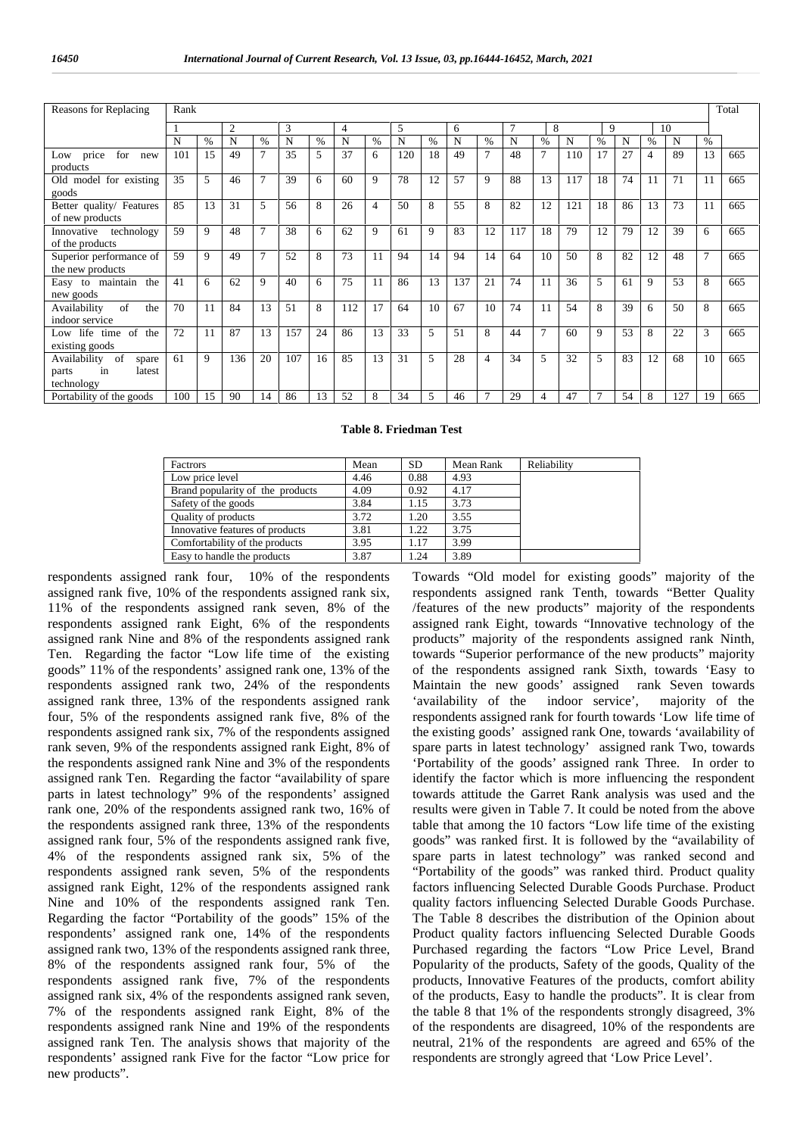| Reasons for Replacing                 | Rank |               |     |                |     |      |                |      |     |      |     |                |                |                |     |                |    |    |     |      | Total |
|---------------------------------------|------|---------------|-----|----------------|-----|------|----------------|------|-----|------|-----|----------------|----------------|----------------|-----|----------------|----|----|-----|------|-------|
|                                       |      |               | 2   |                | 3   |      | $\overline{4}$ |      | 5   |      | 6   |                | $\overline{7}$ | 8              |     | 9              |    |    | 10  |      |       |
|                                       | N    | $\frac{0}{0}$ | N   | $\frac{0}{0}$  | N   | $\%$ | N              | $\%$ | N   | $\%$ | N   | $\%$           | N              | %              | N   | $\%$           | N  | %  | N   | $\%$ |       |
| price<br>for<br>Low<br>new            | 101  | 15            | 49  | $\overline{7}$ | 35  | 5    | 37             | 6    | 120 | 18   | 49  | $\overline{7}$ | 48             | $\overline{7}$ | 110 | 17             | 27 | 4  | 89  | 13   | 665   |
| products                              |      |               |     |                |     |      |                |      |     |      |     |                |                |                |     |                |    |    |     |      |       |
| Old model for existing                | 35   | 5             | 46  | $\overline{7}$ | 39  | 6    | 60             | 9    | 78  | 12   | 57  | 9              | 88             | 13             | 117 | 18             | 74 | 11 | 71  | 11   | 665   |
| goods                                 |      |               |     |                |     |      |                |      |     |      |     |                |                |                |     |                |    |    |     |      |       |
| Better quality/ Features              | 85   | 13            | 31  | 5              | 56  | 8    | 26             | 4    | 50  | 8    | 55  | 8              | 82             | 12             | 121 | 18             | 86 | 13 | 73  | 11   | 665   |
| of new products                       |      |               |     |                |     |      |                |      |     |      |     |                |                |                |     |                |    |    |     |      |       |
| Innovative technology                 | 59   | 9             | 48  | $\overline{7}$ | 38  | 6    | 62             | 9    | 61  | 9    | 83  | 12             | 117            | 18             | 79  | 12             | 79 | 12 | 39  | 6    | 665   |
| of the products                       |      |               |     |                |     |      |                |      |     |      |     |                |                |                |     |                |    |    |     |      |       |
| Superior performance of               | 59   | $\mathbf Q$   | 49  | $\overline{7}$ | 52  | 8    | 73             | 11   | 94  | 14   | 94  | 14             | 64             | 10             | 50  | 8              | 82 | 12 | 48  | 7    | 665   |
| the new products                      |      |               |     |                |     |      |                |      |     |      |     |                |                |                |     |                |    |    |     |      |       |
| Easy to maintain the                  | 41   | 6             | 62  | 9              | 40  | 6    | 75             | 11   | 86  | 13   | 137 | 21             | 74             | 11             | 36  | 5              | 61 | 9  | 53  | 8    | 665   |
| new goods                             |      |               |     |                |     |      |                |      |     |      |     |                |                |                |     |                |    |    |     |      |       |
| of<br>Availability<br>the             | 70   | 11            | 84  | 13             | 51  | 8    | 112            | 17   | 64  | 10   | 67  | 10             | 74             | 11             | 54  | 8              | 39 | 6  | 50  | 8    | 665   |
| indoor service                        |      |               |     |                |     |      |                |      |     |      |     |                |                |                |     |                |    |    |     |      |       |
| Low life time<br><sub>of</sub><br>the | 72   | 11            | 87  | 13             | 157 | 24   | 86             | 13   | 33  | 5    | 51  | 8              | 44             | $\tau$         | 60  | 9              | 53 | 8  | 22  | 3    | 665   |
| existing goods                        |      |               |     |                |     |      |                |      |     |      |     |                |                |                |     |                |    |    |     |      |       |
| Availability<br>of<br>spare           | 61   | 9             | 136 | 20             | 107 | 16   | 85             | 13   | 31  | 5    | 28  | $\overline{4}$ | 34             | 5              | 32  | 5              | 83 | 12 | 68  | 10   | 665   |
| latest<br>parts<br>in                 |      |               |     |                |     |      |                |      |     |      |     |                |                |                |     |                |    |    |     |      |       |
| technology                            |      |               |     |                |     |      |                |      |     |      |     |                |                |                |     |                |    |    |     |      |       |
| Portability of the goods              | 100  | 15            | 90  | 14             | 86  | 13   | 52             | 8    | 34  | 5    | 46  | $\overline{7}$ | 29             | 4              | 47  | $\overline{7}$ | 54 | 8  | 127 | 19   | 665   |

#### **Table 8. Friedman Test**

| Factrors                         | Mean | <b>SD</b> | Mean Rank | Reliability |
|----------------------------------|------|-----------|-----------|-------------|
| Low price level                  | 4.46 | 0.88      | 4.93      |             |
| Brand popularity of the products | 4.09 | 0.92      | 4.17      |             |
| Safety of the goods              | 3.84 | 1.15      | 3.73      |             |
| <b>Quality of products</b>       | 3.72 | 1.20      | 3.55      |             |
| Innovative features of products  | 3.81 | 1.22      | 3.75      |             |
| Comfortability of the products   | 3.95 | 1.17      | 3.99      |             |
| Easy to handle the products      | 3.87 | 1.24      | 3.89      |             |

respondents assigned rank four, 10% of the respondents assigned rank five, 10% of the respondents assigned rank six, 11% of the respondents assigned rank seven, 8% of the respondents assigned rank Eight, 6% of the respondents assigned rank Nine and 8% of the respondents assigned rank Ten. Regarding the factor "Low life time of the existing goods" 11% of the respondents' assigned rank one, 13% of the respondents assigned rank two, 24% of the respondents assigned rank three, 13% of the respondents assigned rank four, 5% of the respondents assigned rank five, 8% of the respondents assigned rank six, 7% of the respondents assigned rank seven, 9% of the respondents assigned rank Eight, 8% of the respondents assigned rank Nine and 3% of the respondents assigned rank Ten. Regarding the factor "availability of spare parts in latest technology" 9% of the respondents' assigned rank one, 20% of the respondents assigned rank two, 16% of the respondents assigned rank three, 13% of the respondents assigned rank four, 5% of the respondents assigned rank five, 4% of the respondents assigned rank six, 5% of the respondents assigned rank seven, 5% of the respondents assigned rank Eight, 12% of the respondents assigned rank Nine and 10% of the respondents assigned rank Ten. Regarding the factor "Portability of the goods" 15% of the respondents' assigned rank one, 14% of the respondents assigned rank two, 13% of the respondents assigned rank three, 8% of the respondents assigned rank four, 5% of the respondents assigned rank five, 7% of the respondents assigned rank six, 4% of the respondents assigned rank seven, 7% of the respondents assigned rank Eight, 8% of the respondents assigned rank Nine and 19% of the respondents assigned rank Ten. The analysis shows that majority of the respondents' assigned rank Five for the factor "Low price for new products".

Towards "Old model for existing goods" majority of the respondents assigned rank Tenth, towards "Better Quality /features of the new products" majority of the respondents assigned rank Eight, towards "Innovative technology of the products" majority of the respondents assigned rank Ninth, towards "Superior performance of the new products" majority of the respondents assigned rank Sixth, towards 'Easy to Maintain the new goods' assigned rank Seven towards<br>
'availability of the indoor service', maiority of the 'availability of the indoor service', majority of the respondents assigned rank for fourth towards 'Low life time of the existing goods' assigned rank One, towards 'availability of spare parts in latest technology' assigned rank Two, towards 'Portability of the goods' assigned rank Three. In order to identify the factor which is more influencing the respondent towards attitude the Garret Rank analysis was used and the results were given in Table 7. It could be noted from the above table that among the 10 factors "Low life time of the existing goods" was ranked first. It is followed by the "availability of spare parts in latest technology" was ranked second and "Portability of the goods" was ranked third. Product quality factors influencing Selected Durable Goods Purchase. Product quality factors influencing Selected Durable Goods Purchase. The Table 8 describes the distribution of the Opinion about Product quality factors influencing Selected Durable Goods Purchased regarding the factors "Low Price Level, Brand Popularity of the products, Safety of the goods, Quality of the products, Innovative Features of the products, comfort ability of the products, Easy to handle the products". It is clear from the table 8 that 1% of the respondents strongly disagreed, 3% of the respondents are disagreed, 10% of the respondents are neutral, 21% of the respondents are agreed and 65% of the respondents are strongly agreed that 'Low Price Level'.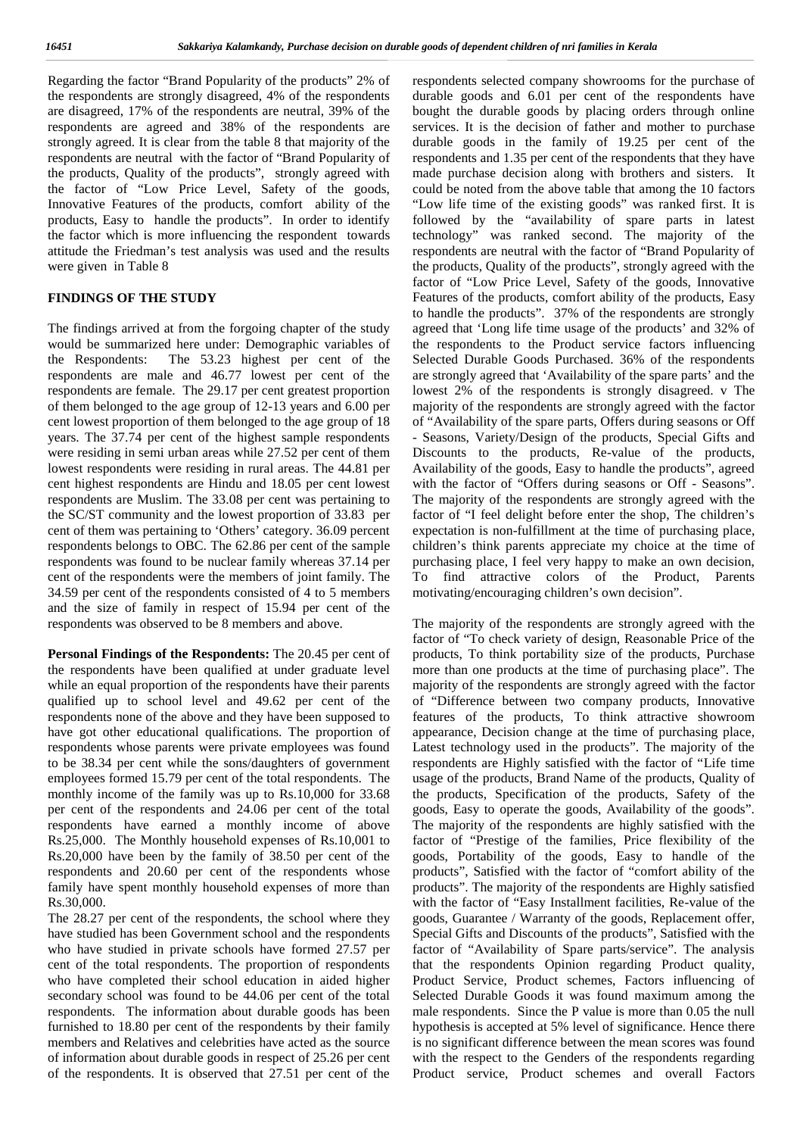Regarding the factor "Brand Popularity of the products" 2% of the respondents are strongly disagreed, 4% of the respondents are disagreed, 17% of the respondents are neutral, 39% of the respondents are agreed and 38% of the respondents are strongly agreed. It is clear from the table 8 that majority of the respondents are neutral with the factor of "Brand Popularity of the products, Quality of the products", strongly agreed with the factor of "Low Price Level, Safety of the goods, Innovative Features of the products, comfort ability of the products, Easy to handle the products". In order to identify the factor which is more influencing the respondent towards attitude the Friedman's test analysis was used and the results were given in Table 8

#### **FINDINGS OF THE STUDY**

The findings arrived at from the forgoing chapter of the study would be summarized here under: Demographic variables of the Respondents: The 53.23 highest per cent of the respondents are male and 46.77 lowest per cent of the respondents are female. The 29.17 per cent greatest proportion of them belonged to the age group of 12-13 years and 6.00 per cent lowest proportion of them belonged to the age group of 18 years. The 37.74 per cent of the highest sample respondents were residing in semi urban areas while 27.52 per cent of them lowest respondents were residing in rural areas. The 44.81 per cent highest respondents are Hindu and 18.05 per cent lowest respondents are Muslim. The 33.08 per cent was pertaining to the SC/ST community and the lowest proportion of 33.83 per cent of them was pertaining to 'Others' category. 36.09 percent respondents belongs to OBC. The 62.86 per cent of the sample respondents was found to be nuclear family whereas 37.14 per cent of the respondents were the members of joint family. The 34.59 per cent of the respondents consisted of 4 to 5 members and the size of family in respect of 15.94 per cent of the respondents was observed to be 8 members and above.

**Personal Findings of the Respondents:** The 20.45 per cent of the respondents have been qualified at under graduate level while an equal proportion of the respondents have their parents qualified up to school level and 49.62 per cent of the respondents none of the above and they have been supposed to have got other educational qualifications. The proportion of respondents whose parents were private employees was found to be 38.34 per cent while the sons/daughters of government employees formed 15.79 per cent of the total respondents. The monthly income of the family was up to Rs.10,000 for 33.68 per cent of the respondents and 24.06 per cent of the total respondents have earned a monthly income of above Rs.25,000. The Monthly household expenses of Rs.10,001 to Rs.20,000 have been by the family of 38.50 per cent of the respondents and 20.60 per cent of the respondents whose family have spent monthly household expenses of more than Rs.30,000.

The 28.27 per cent of the respondents, the school where they have studied has been Government school and the respondents who have studied in private schools have formed 27.57 per cent of the total respondents. The proportion of respondents who have completed their school education in aided higher secondary school was found to be 44.06 per cent of the total respondents. The information about durable goods has been furnished to 18.80 per cent of the respondents by their family members and Relatives and celebrities have acted as the source of information about durable goods in respect of 25.26 per cent of the respondents. It is observed that 27.51 per cent of the

respondents selected company showrooms for the purchase of durable goods and 6.01 per cent of the respondents have bought the durable goods by placing orders through online services. It is the decision of father and mother to purchase durable goods in the family of 19.25 per cent of the respondents and 1.35 per cent of the respondents that they have made purchase decision along with brothers and sisters. It could be noted from the above table that among the 10 factors "Low life time of the existing goods" was ranked first. It is followed by the "availability of spare parts in latest technology" was ranked second. The majority of the respondents are neutral with the factor of "Brand Popularity of the products, Quality of the products", strongly agreed with the factor of "Low Price Level, Safety of the goods, Innovative Features of the products, comfort ability of the products, Easy to handle the products". 37% of the respondents are strongly agreed that 'Long life time usage of the products' and 32% of the respondents to the Product service factors influencing Selected Durable Goods Purchased. 36% of the respondents are strongly agreed that 'Availability of the spare parts' and the lowest 2% of the respondents is strongly disagreed. v The majority of the respondents are strongly agreed with the factor of "Availability of the spare parts, Offers during seasons or Off - Seasons, Variety/Design of the products, Special Gifts and Discounts to the products, Re-value of the products, Availability of the goods, Easy to handle the products", agreed with the factor of "Offers during seasons or Off - Seasons". The majority of the respondents are strongly agreed with the factor of "I feel delight before enter the shop, The children's expectation is non-fulfillment at the time of purchasing place, children's think parents appreciate my choice at the time of purchasing place, I feel very happy to make an own decision, To find attractive colors of the Product, Parents motivating/encouraging children's own decision".

The majority of the respondents are strongly agreed with the factor of "To check variety of design, Reasonable Price of the products, To think portability size of the products, Purchase more than one products at the time of purchasing place". The majority of the respondents are strongly agreed with the factor of "Difference between two company products, Innovative features of the products, To think attractive showroom appearance, Decision change at the time of purchasing place, Latest technology used in the products". The majority of the respondents are Highly satisfied with the factor of "Life time usage of the products, Brand Name of the products, Quality of the products, Specification of the products, Safety of the goods, Easy to operate the goods, Availability of the goods". The majority of the respondents are highly satisfied with the factor of "Prestige of the families, Price flexibility of the goods, Portability of the goods, Easy to handle of the products", Satisfied with the factor of "comfort ability of the products". The majority of the respondents are Highly satisfied with the factor of "Easy Installment facilities, Re-value of the goods, Guarantee / Warranty of the goods, Replacement offer, Special Gifts and Discounts of the products", Satisfied with the factor of "Availability of Spare parts/service". The analysis that the respondents Opinion regarding Product quality, Product Service, Product schemes, Factors influencing of Selected Durable Goods it was found maximum among the male respondents. Since the P value is more than 0.05 the null hypothesis is accepted at 5% level of significance. Hence there is no significant difference between the mean scores was found with the respect to the Genders of the respondents regarding Product service, Product schemes and overall Factors